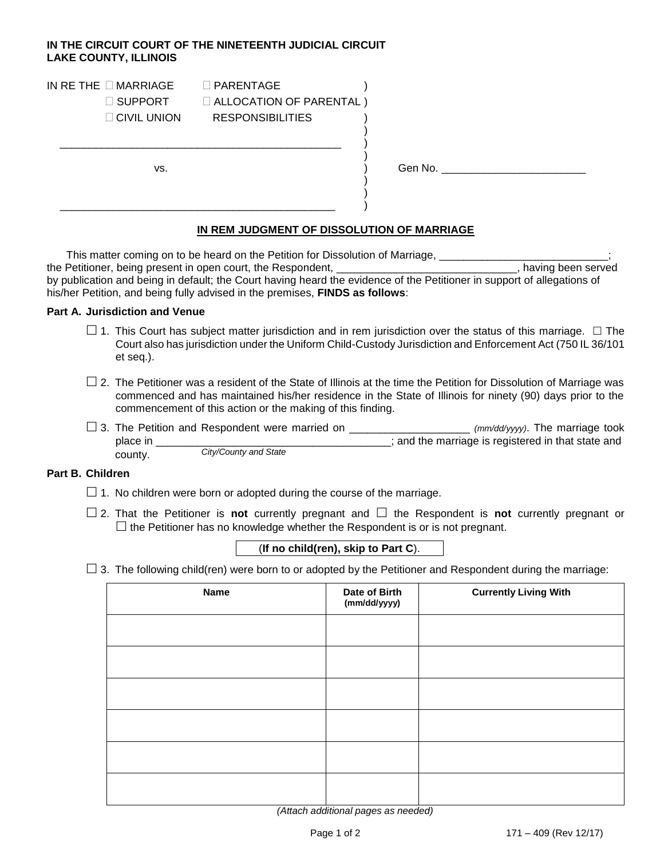## **IN THE CIRCUIT COURT OF THE NINETEENTH JUDICIAL CIRCUIT LAKE COUNTY, ILLINOIS**

| IN RE THE $\square$ MARRIAGE<br>□ SUPPORT<br>$\Box$ CIVIL UNION | $\Box$ PARENTAGE<br><b>EXALLOCATION OF PARENTAL)</b><br><b>RESPONSIBILITIES</b> |         |  |
|-----------------------------------------------------------------|---------------------------------------------------------------------------------|---------|--|
| VS.                                                             |                                                                                 | Gen No. |  |

# **IN REM JUDGMENT OF DISSOLUTION OF MARRIAGE**

This matter coming on to be heard on the Petition for Dissolution of Marriage, \_\_\_\_\_\_\_\_\_\_\_\_\_\_\_\_\_\_\_\_\_\_\_\_\_\_;<br>Petitioner, being present in open court, the Respondent, \_\_\_\_\_\_\_\_\_\_\_\_\_\_\_\_\_\_\_\_\_\_\_\_\_\_\_\_\_\_\_\_, having been served the Petitioner, being present in open court, the Respondent, \_\_\_\_\_\_\_\_\_\_\_\_\_\_\_\_\_\_\_ by publication and being in default; the Court having heard the evidence of the Petitioner in support of allegations of his/her Petition, and being fully advised in the premises, **FINDS as follows**:

### **Part A. Jurisdiction and Venue**

- $\Box$  1. This Court has subject matter jurisdiction and in rem jurisdiction over the status of this marriage.  $\Box$  The Court also has jurisdiction under the Uniform Child-Custody Jurisdiction and Enforcement Act (750 IL 36/101 et seq.).
- $\Box$  2. The Petitioner was a resident of the State of Illinois at the time the Petition for Dissolution of Marriage was commenced and has maintained his/her residence in the State of Illinois for ninety (90) days prior to the commencement of this action or the making of this finding.
- 3. The Petition and Respondent were married on \_\_\_\_\_\_\_\_\_\_\_\_\_\_\_\_\_\_\_\_ *(mm/dd/yyyy)*. The marriage took **place in that in that in the marriage is registered in that state and** county. *City/County and State*

### **Part B. Children**

- $\Box$  1. No children were born or adopted during the course of the marriage.
- $\Box$  2. That the Petitioner is **not** currently pregnant and  $\Box$  the Respondent is **not** currently pregnant or  $\Box$  the Petitioner has no knowledge whether the Respondent is or is not pregnant.

# (**If no child(ren), skip to Part C**).

 $\Box$  3. The following child(ren) were born to or adopted by the Petitioner and Respondent during the marriage:

| <b>Name</b> | Date of Birth<br>(mm/dd/yyyy) | <b>Currently Living With</b> |
|-------------|-------------------------------|------------------------------|
|             |                               |                              |
|             |                               |                              |
|             |                               |                              |
|             |                               |                              |
|             |                               |                              |
|             |                               |                              |

*(Attach additional pages as needed)*